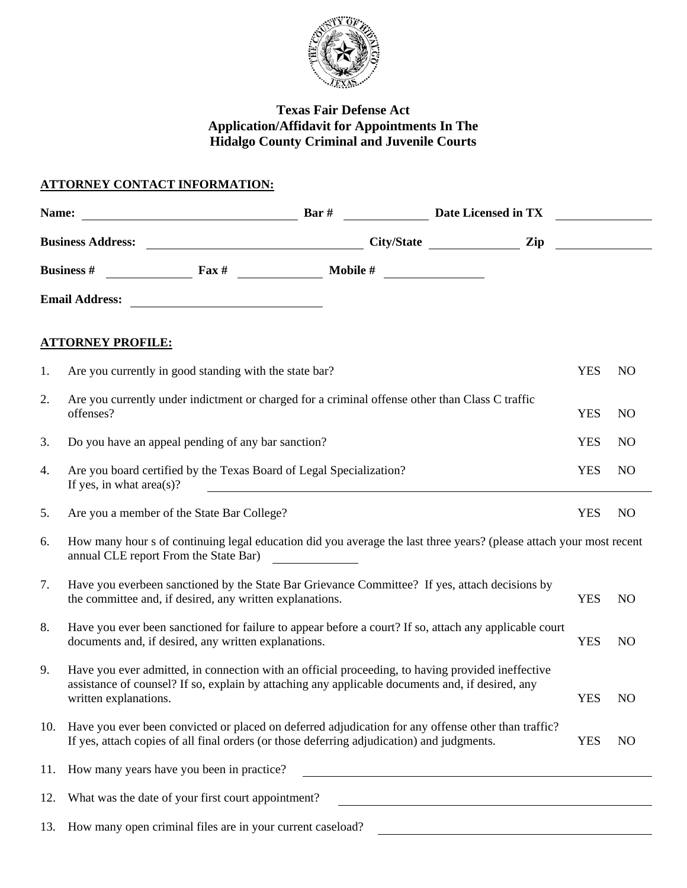

# **Texas Fair Defense Act Application/Affidavit for Appointments In The Hidalgo County Criminal and Juvenile Courts**

# **ATTORNEY CONTACT INFORMATION:**

| Name:                                                               | $\frac{1}{2}$ Bar $\#$ $\frac{1}{2}$ Date Licensed in TX                                                                                                                                                                                                                                                                                                                                             |  |                                                                                                                        |            |                |  |  |
|---------------------------------------------------------------------|------------------------------------------------------------------------------------------------------------------------------------------------------------------------------------------------------------------------------------------------------------------------------------------------------------------------------------------------------------------------------------------------------|--|------------------------------------------------------------------------------------------------------------------------|------------|----------------|--|--|
|                                                                     |                                                                                                                                                                                                                                                                                                                                                                                                      |  |                                                                                                                        |            |                |  |  |
| Business # $\frac{1}{2}$ Fax # $\frac{1}{2}$ Mobile # $\frac{1}{2}$ |                                                                                                                                                                                                                                                                                                                                                                                                      |  |                                                                                                                        |            |                |  |  |
|                                                                     |                                                                                                                                                                                                                                                                                                                                                                                                      |  |                                                                                                                        |            |                |  |  |
|                                                                     | <b>ATTORNEY PROFILE:</b>                                                                                                                                                                                                                                                                                                                                                                             |  |                                                                                                                        |            |                |  |  |
| 1.                                                                  | Are you currently in good standing with the state bar?                                                                                                                                                                                                                                                                                                                                               |  |                                                                                                                        | <b>YES</b> | N <sub>O</sub> |  |  |
| 2.                                                                  | Are you currently under indictment or charged for a criminal offense other than Class C traffic<br>offenses?                                                                                                                                                                                                                                                                                         |  |                                                                                                                        | <b>YES</b> | N <sub>O</sub> |  |  |
| 3.                                                                  | Do you have an appeal pending of any bar sanction?                                                                                                                                                                                                                                                                                                                                                   |  |                                                                                                                        | <b>YES</b> | N <sub>O</sub> |  |  |
| 4.                                                                  | Are you board certified by the Texas Board of Legal Specialization?<br>If yes, in what $area(s)$ ?<br><u> 1989 - John Stein, Amerikaansk politiker (</u>                                                                                                                                                                                                                                             |  |                                                                                                                        | <b>YES</b> | N <sub>O</sub> |  |  |
| 5.                                                                  | Are you a member of the State Bar College?                                                                                                                                                                                                                                                                                                                                                           |  |                                                                                                                        | <b>YES</b> | N <sub>O</sub> |  |  |
| 6.                                                                  | How many hour s of continuing legal education did you average the last three years? (please attach your most recent<br>annual CLE report From the State Bar)<br><u>and the community of the community of the community of the community of the community of the community of the community of the community of the community of the community of the community of the community of the community</u> |  |                                                                                                                        |            |                |  |  |
| 7.                                                                  | Have you everbeen sanctioned by the State Bar Grievance Committee? If yes, attach decisions by<br>the committee and, if desired, any written explanations.                                                                                                                                                                                                                                           |  |                                                                                                                        | <b>YES</b> | N <sub>O</sub> |  |  |
| 8.                                                                  | Have you ever been sanctioned for failure to appear before a court? If so, attach any applicable court<br>documents and, if desired, any written explanations.                                                                                                                                                                                                                                       |  |                                                                                                                        | <b>YES</b> | N <sub>O</sub> |  |  |
| 9.                                                                  | Have you ever admitted, in connection with an official proceeding, to having provided ineffective<br>assistance of counsel? If so, explain by attaching any applicable documents and, if desired, any<br>written explanations.                                                                                                                                                                       |  |                                                                                                                        | <b>YES</b> | N <sub>O</sub> |  |  |
|                                                                     | 10. Have you ever been convicted or placed on deferred adjudication for any offense other than traffic?<br>If yes, attach copies of all final orders (or those deferring adjudication) and judgments.                                                                                                                                                                                                |  |                                                                                                                        | <b>YES</b> | N <sub>O</sub> |  |  |
| 11.                                                                 | How many years have you been in practice?                                                                                                                                                                                                                                                                                                                                                            |  | <u> 1989 - Johann Stoff, fransk politik (d. 1989)</u>                                                                  |            |                |  |  |
| 12.                                                                 | What was the date of your first court appointment?                                                                                                                                                                                                                                                                                                                                                   |  | <u> 1989 - Johann Stoff, deutscher Stoffen und der Stoffen und der Stoffen und der Stoffen und der Stoffen und der</u> |            |                |  |  |
|                                                                     | 13. How many open criminal files are in your current caseload?                                                                                                                                                                                                                                                                                                                                       |  | <u> 1989 - Johann Harry Harry Harry Harry Harry Harry Harry Harry Harry Harry Harry Harry Harry Harry Harry Harry</u>  |            |                |  |  |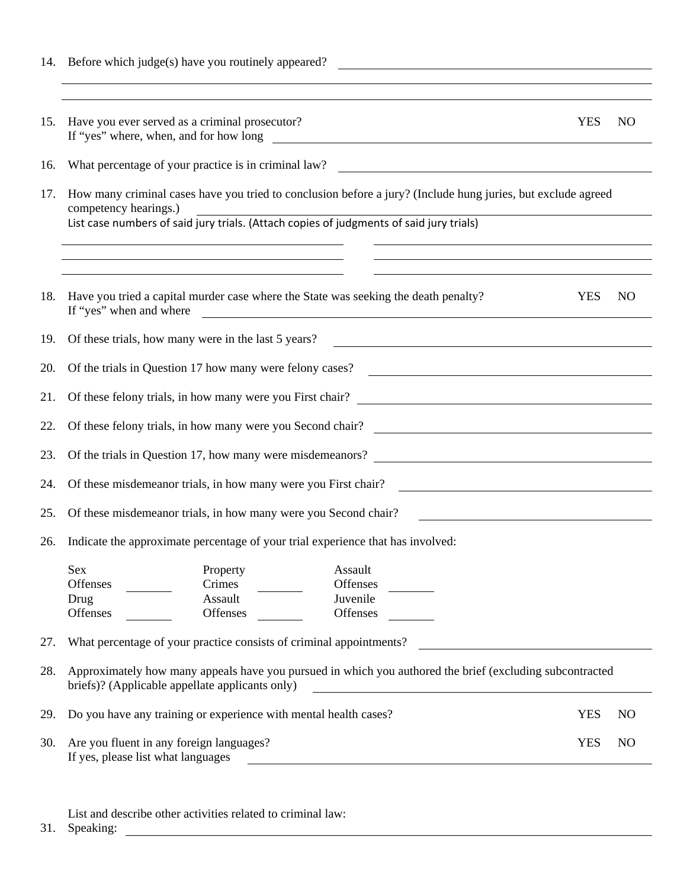|     | 14. Before which judge(s) have you routinely appeared?<br><u> 1989 - Johann Harry Harry Harry Harry Harry Harry Harry Harry Harry Harry Harry Harry Harry Harry Harry Harry</u>               |            |                 |  |  |  |
|-----|-----------------------------------------------------------------------------------------------------------------------------------------------------------------------------------------------|------------|-----------------|--|--|--|
|     | <u> 1989 - Andrea Barbara, Amerikaansk politiker (d. 1989)</u>                                                                                                                                |            |                 |  |  |  |
| 15. | Have you ever served as a criminal prosecutor?<br>If "yes" where, when, and for how long<br><u> 1980 - John Barnett, fransk politiker (d. 1980)</u>                                           | <b>YES</b> | NO <sub>1</sub> |  |  |  |
| 16. | What percentage of your practice is in criminal law?<br><u> 1980 - Johann Stoff, deutscher Stoffen und der Stoffen und der Stoffen und der Stoffen und der Stoffen und de</u>                 |            |                 |  |  |  |
| 17. | How many criminal cases have you tried to conclusion before a jury? (Include hung juries, but exclude agreed<br>competency hearings.)                                                         |            |                 |  |  |  |
|     | List case numbers of said jury trials. (Attach copies of judgments of said jury trials)                                                                                                       |            |                 |  |  |  |
|     |                                                                                                                                                                                               |            |                 |  |  |  |
| 18. | Have you tried a capital murder case where the State was seeking the death penalty?<br>If "yes" when and where<br><u> 1989 - Johann John Stone, marking fan de Amerikaanske kommunister (</u> | <b>YES</b> | N <sub>O</sub>  |  |  |  |
| 19. | Of these trials, how many were in the last 5 years?<br><u> 1980 - Johann Barn, marwolaethau a bhann an t-Amhainn an t-Amhainn an t-Amhainn an t-Amhainn an t-Amhainn an</u>                   |            |                 |  |  |  |
| 20. | <u> 1989 - Johann Barn, mars eta bainar eta baina eta baina eta baina eta baina eta baina eta baina eta baina e</u><br>Of the trials in Question 17 how many were felony cases?               |            |                 |  |  |  |
| 21. |                                                                                                                                                                                               |            |                 |  |  |  |
| 22. | Of these felony trials, in how many were you Second chair?                                                                                                                                    |            |                 |  |  |  |
| 23. | Of the trials in Question 17, how many were misdemeanors?                                                                                                                                     |            |                 |  |  |  |
| 24. | Of these misdemeanor trials, in how many were you First chair?<br><u> 1980 - Johann Barn, fransk politik (d. 1980)</u>                                                                        |            |                 |  |  |  |
| 25. | Of these misdemeanor trials, in how many were you Second chair?                                                                                                                               |            |                 |  |  |  |
| 26. | Indicate the approximate percentage of your trial experience that has involved:                                                                                                               |            |                 |  |  |  |
|     | Sex<br>Assault<br>Property<br>Offenses<br>Offenses<br>Crimes<br>Assault<br>Juvenile<br>Drug<br><b>Offenses</b><br>Offenses<br>Offenses                                                        |            |                 |  |  |  |
| 27. | What percentage of your practice consists of criminal appointments?                                                                                                                           |            |                 |  |  |  |
| 28. | Approximately how many appeals have you pursued in which you authored the brief (excluding subcontracted<br>briefs)? (Applicable appellate applicants only)                                   |            |                 |  |  |  |
| 29. | Do you have any training or experience with mental health cases?                                                                                                                              |            | N <sub>O</sub>  |  |  |  |
| 30. | Are you fluent in any foreign languages?<br>If yes, please list what languages                                                                                                                | <b>YES</b> | N <sub>O</sub>  |  |  |  |
|     |                                                                                                                                                                                               |            |                 |  |  |  |

List and describe other activities related to criminal law:

31. Speaking: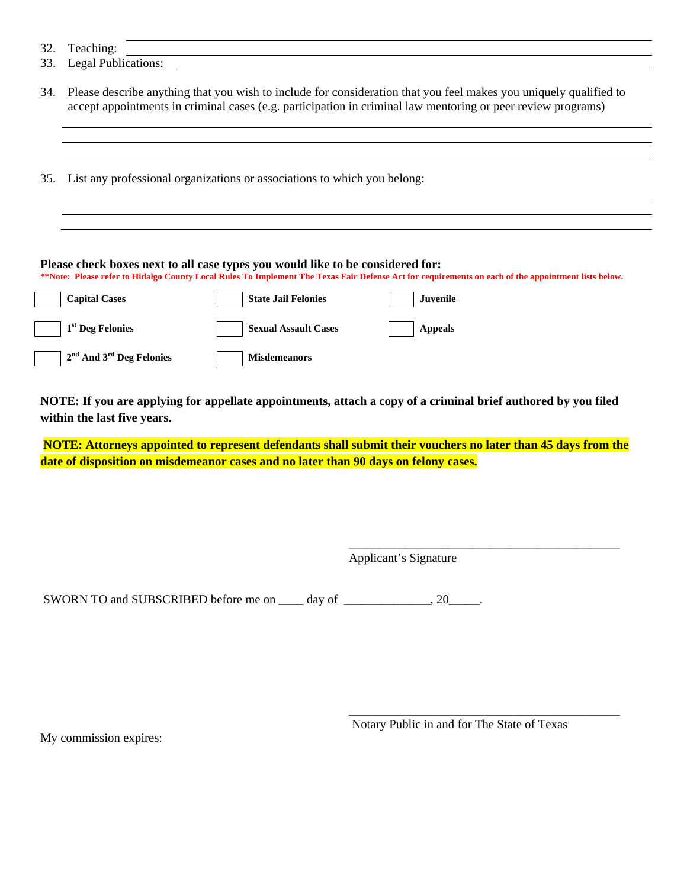- 33. Legal Publications:
- 34. Please describe anything that you wish to include for consideration that you feel makes you uniquely qualified to accept appointments in criminal cases (e.g. participation in criminal law mentoring or peer review programs)
- 35. List any professional organizations or associations to which you belong:

#### **Please check boxes next to all case types you would like to be considered for:**

**\*\*Note: Please refer to Hidalgo County Local Rules To Implement The Texas Fair Defense Act for requirements on each of the appointment lists below.** 

| <b>Capital Cases</b>         | <b>State Jail Felonies</b>  | Juvenile       |
|------------------------------|-----------------------------|----------------|
| 1 <sup>st</sup> Deg Felonies | <b>Sexual Assault Cases</b> | <b>Appeals</b> |
| $2nd$ And $3rd$ Deg Felonies | <b>Misdemeanors</b>         |                |

**NOTE: If you are applying for appellate appointments, attach a copy of a criminal brief authored by you filed within the last five years.** 

 **NOTE: Attorneys appointed to represent defendants shall submit their vouchers no later than 45 days from the date of disposition on misdemeanor cases and no later than 90 days on felony cases.** 

\_\_\_\_\_\_\_\_\_\_\_\_\_\_\_\_\_\_\_\_\_\_\_\_\_\_\_\_\_\_\_\_\_\_\_\_\_\_\_\_\_\_\_\_

 $\overline{\phantom{a}}$  , which is a set of the set of the set of the set of the set of the set of the set of the set of the set of the set of the set of the set of the set of the set of the set of the set of the set of the set of th

Applicant's Signature

SWORN TO and SUBSCRIBED before me on \_\_\_\_ day of \_\_\_\_\_\_\_\_\_\_\_\_\_, 20\_\_\_\_\_.

My commission expires:

Notary Public in and for The State of Texas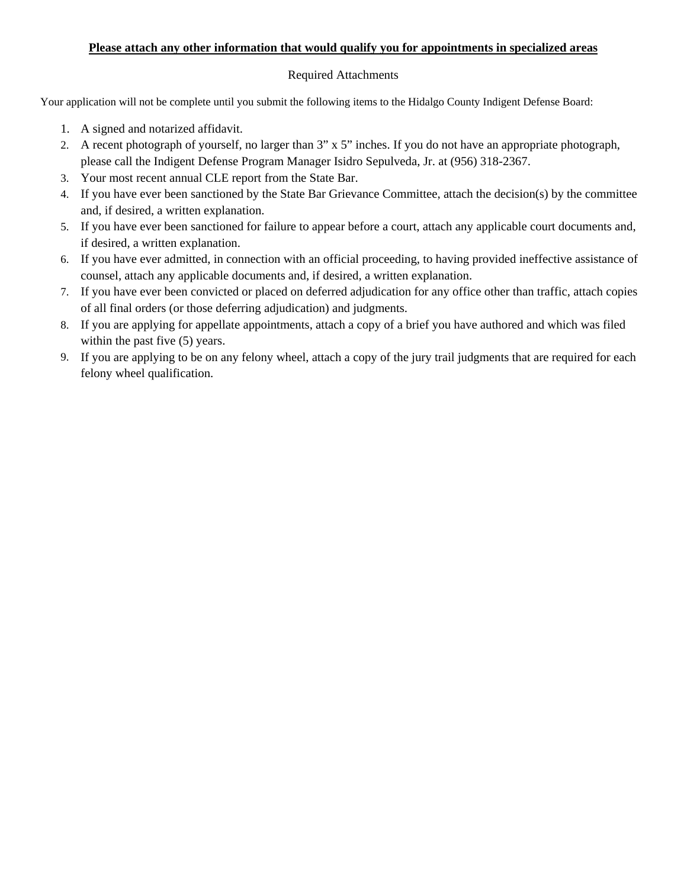#### **Please attach any other information that would qualify you for appointments in specialized areas**

#### Required Attachments

Your application will not be complete until you submit the following items to the Hidalgo County Indigent Defense Board:

- 1. A signed and notarized affidavit.
- 2. A recent photograph of yourself, no larger than 3" x 5" inches. If you do not have an appropriate photograph, please call the Indigent Defense Program Manager Isidro Sepulveda, Jr. at (956) 318-2367.
- 3. Your most recent annual CLE report from the State Bar.
- 4. If you have ever been sanctioned by the State Bar Grievance Committee, attach the decision(s) by the committee and, if desired, a written explanation.
- 5. If you have ever been sanctioned for failure to appear before a court, attach any applicable court documents and, if desired, a written explanation.
- 6. If you have ever admitted, in connection with an official proceeding, to having provided ineffective assistance of counsel, attach any applicable documents and, if desired, a written explanation.
- 7. If you have ever been convicted or placed on deferred adjudication for any office other than traffic, attach copies of all final orders (or those deferring adjudication) and judgments.
- 8. If you are applying for appellate appointments, attach a copy of a brief you have authored and which was filed within the past five  $(5)$  years.
- 9. If you are applying to be on any felony wheel, attach a copy of the jury trail judgments that are required for each felony wheel qualification.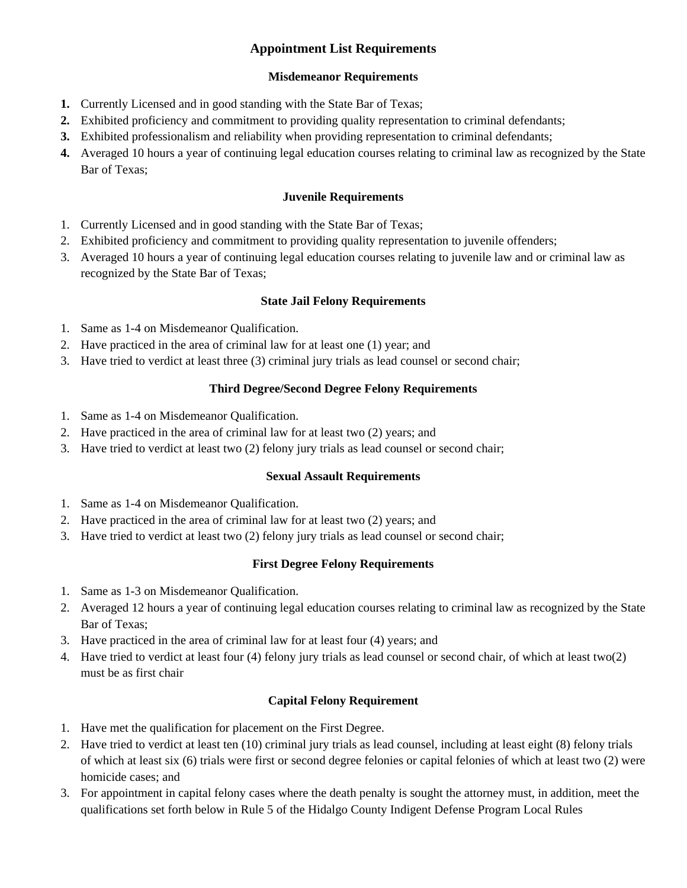# **Appointment List Requirements**

#### **Misdemeanor Requirements**

- **1.** Currently Licensed and in good standing with the State Bar of Texas;
- **2.** Exhibited proficiency and commitment to providing quality representation to criminal defendants;
- **3.** Exhibited professionalism and reliability when providing representation to criminal defendants;
- **4.** Averaged 10 hours a year of continuing legal education courses relating to criminal law as recognized by the State Bar of Texas;

#### **Juvenile Requirements**

- 1. Currently Licensed and in good standing with the State Bar of Texas;
- 2. Exhibited proficiency and commitment to providing quality representation to juvenile offenders;
- 3. Averaged 10 hours a year of continuing legal education courses relating to juvenile law and or criminal law as recognized by the State Bar of Texas;

#### **State Jail Felony Requirements**

- 1. Same as 1-4 on Misdemeanor Qualification.
- 2. Have practiced in the area of criminal law for at least one (1) year; and
- 3. Have tried to verdict at least three (3) criminal jury trials as lead counsel or second chair;

### **Third Degree/Second Degree Felony Requirements**

- 1. Same as 1-4 on Misdemeanor Qualification.
- 2. Have practiced in the area of criminal law for at least two (2) years; and
- 3. Have tried to verdict at least two (2) felony jury trials as lead counsel or second chair;

#### **Sexual Assault Requirements**

- 1. Same as 1-4 on Misdemeanor Qualification.
- 2. Have practiced in the area of criminal law for at least two (2) years; and
- 3. Have tried to verdict at least two (2) felony jury trials as lead counsel or second chair;

## **First Degree Felony Requirements**

- 1. Same as 1-3 on Misdemeanor Qualification.
- 2. Averaged 12 hours a year of continuing legal education courses relating to criminal law as recognized by the State Bar of Texas;
- 3. Have practiced in the area of criminal law for at least four (4) years; and
- 4. Have tried to verdict at least four (4) felony jury trials as lead counsel or second chair, of which at least two(2) must be as first chair

## **Capital Felony Requirement**

- 1. Have met the qualification for placement on the First Degree.
- 2. Have tried to verdict at least ten (10) criminal jury trials as lead counsel, including at least eight (8) felony trials of which at least six (6) trials were first or second degree felonies or capital felonies of which at least two (2) were homicide cases; and
- 3. For appointment in capital felony cases where the death penalty is sought the attorney must, in addition, meet the qualifications set forth below in Rule 5 of the Hidalgo County Indigent Defense Program Local Rules